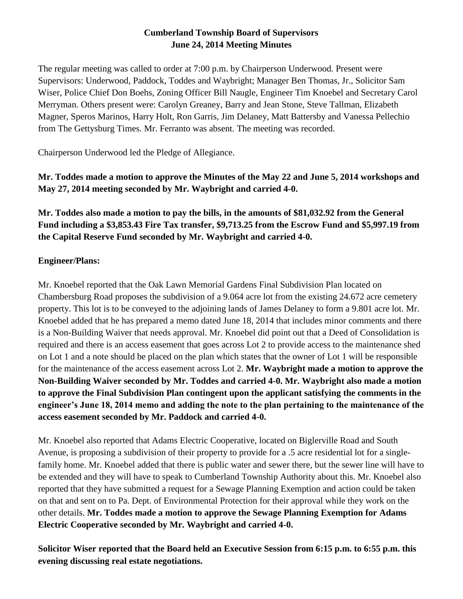# **Cumberland Township Board of Supervisors June 24, 2014 Meeting Minutes**

The regular meeting was called to order at 7:00 p.m. by Chairperson Underwood. Present were Supervisors: Underwood, Paddock, Toddes and Waybright; Manager Ben Thomas, Jr., Solicitor Sam Wiser, Police Chief Don Boehs, Zoning Officer Bill Naugle, Engineer Tim Knoebel and Secretary Carol Merryman. Others present were: Carolyn Greaney, Barry and Jean Stone, Steve Tallman, Elizabeth Magner, Speros Marinos, Harry Holt, Ron Garris, Jim Delaney, Matt Battersby and Vanessa Pellechio from The Gettysburg Times. Mr. Ferranto was absent. The meeting was recorded.

Chairperson Underwood led the Pledge of Allegiance.

**Mr. Toddes made a motion to approve the Minutes of the May 22 and June 5, 2014 workshops and May 27, 2014 meeting seconded by Mr. Waybright and carried 4-0.** 

**Mr. Toddes also made a motion to pay the bills, in the amounts of \$81,032.92 from the General Fund including a \$3,853.43 Fire Tax transfer, \$9,713.25 from the Escrow Fund and \$5,997.19 from the Capital Reserve Fund seconded by Mr. Waybright and carried 4-0.**

### **Engineer/Plans:**

Mr. Knoebel reported that the Oak Lawn Memorial Gardens Final Subdivision Plan located on Chambersburg Road proposes the subdivision of a 9.064 acre lot from the existing 24.672 acre cemetery property. This lot is to be conveyed to the adjoining lands of James Delaney to form a 9.801 acre lot. Mr. Knoebel added that he has prepared a memo dated June 18, 2014 that includes minor comments and there is a Non-Building Waiver that needs approval. Mr. Knoebel did point out that a Deed of Consolidation is required and there is an access easement that goes across Lot 2 to provide access to the maintenance shed on Lot 1 and a note should be placed on the plan which states that the owner of Lot 1 will be responsible for the maintenance of the access easement across Lot 2. **Mr. Waybright made a motion to approve the Non-Building Waiver seconded by Mr. Toddes and carried 4-0. Mr. Waybright also made a motion to approve the Final Subdivision Plan contingent upon the applicant satisfying the comments in the engineer's June 18, 2014 memo and adding the note to the plan pertaining to the maintenance of the access easement seconded by Mr. Paddock and carried 4-0.**

Mr. Knoebel also reported that Adams Electric Cooperative, located on Biglerville Road and South Avenue, is proposing a subdivision of their property to provide for a .5 acre residential lot for a singlefamily home. Mr. Knoebel added that there is public water and sewer there, but the sewer line will have to be extended and they will have to speak to Cumberland Township Authority about this. Mr. Knoebel also reported that they have submitted a request for a Sewage Planning Exemption and action could be taken on that and sent on to Pa. Dept. of Environmental Protection for their approval while they work on the other details. **Mr. Toddes made a motion to approve the Sewage Planning Exemption for Adams Electric Cooperative seconded by Mr. Waybright and carried 4-0.** 

**Solicitor Wiser reported that the Board held an Executive Session from 6:15 p.m. to 6:55 p.m. this evening discussing real estate negotiations.**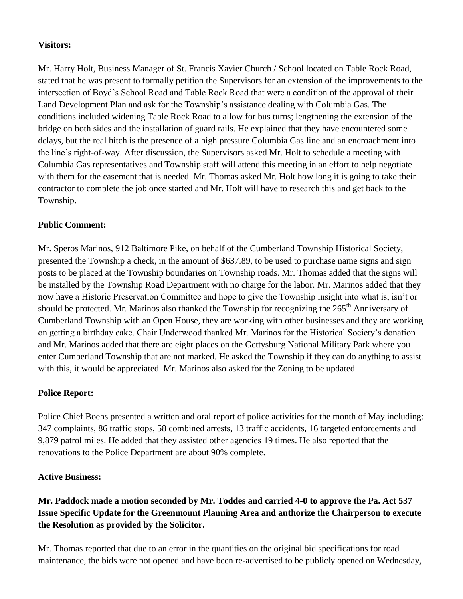#### **Visitors:**

Mr. Harry Holt, Business Manager of St. Francis Xavier Church / School located on Table Rock Road, stated that he was present to formally petition the Supervisors for an extension of the improvements to the intersection of Boyd's School Road and Table Rock Road that were a condition of the approval of their Land Development Plan and ask for the Township's assistance dealing with Columbia Gas. The conditions included widening Table Rock Road to allow for bus turns; lengthening the extension of the bridge on both sides and the installation of guard rails. He explained that they have encountered some delays, but the real hitch is the presence of a high pressure Columbia Gas line and an encroachment into the line's right-of-way. After discussion, the Supervisors asked Mr. Holt to schedule a meeting with Columbia Gas representatives and Township staff will attend this meeting in an effort to help negotiate with them for the easement that is needed. Mr. Thomas asked Mr. Holt how long it is going to take their contractor to complete the job once started and Mr. Holt will have to research this and get back to the Township.

### **Public Comment:**

Mr. Speros Marinos, 912 Baltimore Pike, on behalf of the Cumberland Township Historical Society, presented the Township a check, in the amount of \$637.89, to be used to purchase name signs and sign posts to be placed at the Township boundaries on Township roads. Mr. Thomas added that the signs will be installed by the Township Road Department with no charge for the labor. Mr. Marinos added that they now have a Historic Preservation Committee and hope to give the Township insight into what is, isn't or should be protected. Mr. Marinos also thanked the Township for recognizing the 265<sup>th</sup> Anniversary of Cumberland Township with an Open House, they are working with other businesses and they are working on getting a birthday cake. Chair Underwood thanked Mr. Marinos for the Historical Society's donation and Mr. Marinos added that there are eight places on the Gettysburg National Military Park where you enter Cumberland Township that are not marked. He asked the Township if they can do anything to assist with this, it would be appreciated. Mr. Marinos also asked for the Zoning to be updated.

#### **Police Report:**

Police Chief Boehs presented a written and oral report of police activities for the month of May including: 347 complaints, 86 traffic stops, 58 combined arrests, 13 traffic accidents, 16 targeted enforcements and 9,879 patrol miles. He added that they assisted other agencies 19 times. He also reported that the renovations to the Police Department are about 90% complete.

#### **Active Business:**

# **Mr. Paddock made a motion seconded by Mr. Toddes and carried 4-0 to approve the Pa. Act 537 Issue Specific Update for the Greenmount Planning Area and authorize the Chairperson to execute the Resolution as provided by the Solicitor.**

Mr. Thomas reported that due to an error in the quantities on the original bid specifications for road maintenance, the bids were not opened and have been re-advertised to be publicly opened on Wednesday,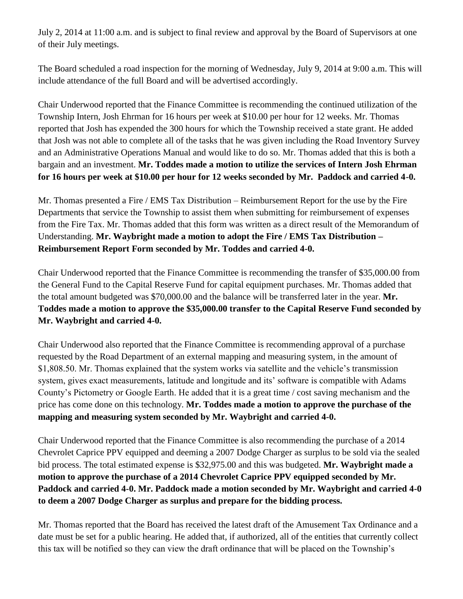July 2, 2014 at 11:00 a.m. and is subject to final review and approval by the Board of Supervisors at one of their July meetings.

The Board scheduled a road inspection for the morning of Wednesday, July 9, 2014 at 9:00 a.m. This will include attendance of the full Board and will be advertised accordingly.

Chair Underwood reported that the Finance Committee is recommending the continued utilization of the Township Intern, Josh Ehrman for 16 hours per week at \$10.00 per hour for 12 weeks. Mr. Thomas reported that Josh has expended the 300 hours for which the Township received a state grant. He added that Josh was not able to complete all of the tasks that he was given including the Road Inventory Survey and an Administrative Operations Manual and would like to do so. Mr. Thomas added that this is both a bargain and an investment. **Mr. Toddes made a motion to utilize the services of Intern Josh Ehrman for 16 hours per week at \$10.00 per hour for 12 weeks seconded by Mr. Paddock and carried 4-0.**

Mr. Thomas presented a Fire / EMS Tax Distribution – Reimbursement Report for the use by the Fire Departments that service the Township to assist them when submitting for reimbursement of expenses from the Fire Tax. Mr. Thomas added that this form was written as a direct result of the Memorandum of Understanding. **Mr. Waybright made a motion to adopt the Fire / EMS Tax Distribution – Reimbursement Report Form seconded by Mr. Toddes and carried 4-0.**

Chair Underwood reported that the Finance Committee is recommending the transfer of \$35,000.00 from the General Fund to the Capital Reserve Fund for capital equipment purchases. Mr. Thomas added that the total amount budgeted was \$70,000.00 and the balance will be transferred later in the year. **Mr. Toddes made a motion to approve the \$35,000.00 transfer to the Capital Reserve Fund seconded by Mr. Waybright and carried 4-0.**

Chair Underwood also reported that the Finance Committee is recommending approval of a purchase requested by the Road Department of an external mapping and measuring system, in the amount of \$1,808.50. Mr. Thomas explained that the system works via satellite and the vehicle's transmission system, gives exact measurements, latitude and longitude and its' software is compatible with Adams County's Pictometry or Google Earth. He added that it is a great time / cost saving mechanism and the price has come done on this technology. **Mr. Toddes made a motion to approve the purchase of the mapping and measuring system seconded by Mr. Waybright and carried 4-0.**

Chair Underwood reported that the Finance Committee is also recommending the purchase of a 2014 Chevrolet Caprice PPV equipped and deeming a 2007 Dodge Charger as surplus to be sold via the sealed bid process. The total estimated expense is \$32,975.00 and this was budgeted. **Mr. Waybright made a motion to approve the purchase of a 2014 Chevrolet Caprice PPV equipped seconded by Mr. Paddock and carried 4-0. Mr. Paddock made a motion seconded by Mr. Waybright and carried 4-0 to deem a 2007 Dodge Charger as surplus and prepare for the bidding process.** 

Mr. Thomas reported that the Board has received the latest draft of the Amusement Tax Ordinance and a date must be set for a public hearing. He added that, if authorized, all of the entities that currently collect this tax will be notified so they can view the draft ordinance that will be placed on the Township's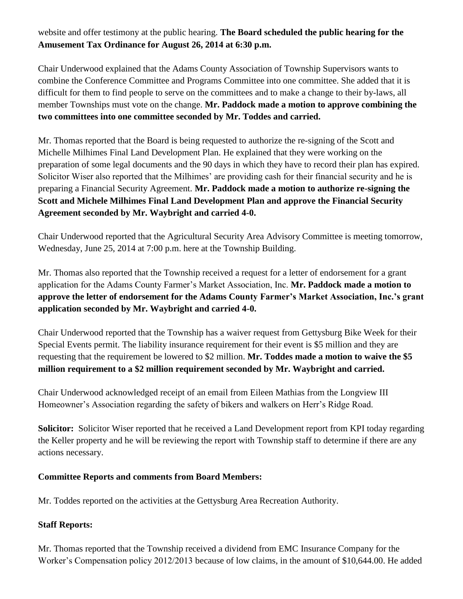# website and offer testimony at the public hearing. **The Board scheduled the public hearing for the Amusement Tax Ordinance for August 26, 2014 at 6:30 p.m.**

Chair Underwood explained that the Adams County Association of Township Supervisors wants to combine the Conference Committee and Programs Committee into one committee. She added that it is difficult for them to find people to serve on the committees and to make a change to their by-laws, all member Townships must vote on the change. **Mr. Paddock made a motion to approve combining the two committees into one committee seconded by Mr. Toddes and carried.**

Mr. Thomas reported that the Board is being requested to authorize the re-signing of the Scott and Michelle Milhimes Final Land Development Plan. He explained that they were working on the preparation of some legal documents and the 90 days in which they have to record their plan has expired. Solicitor Wiser also reported that the Milhimes' are providing cash for their financial security and he is preparing a Financial Security Agreement. **Mr. Paddock made a motion to authorize re-signing the Scott and Michele Milhimes Final Land Development Plan and approve the Financial Security Agreement seconded by Mr. Waybright and carried 4-0.** 

Chair Underwood reported that the Agricultural Security Area Advisory Committee is meeting tomorrow, Wednesday, June 25, 2014 at 7:00 p.m. here at the Township Building.

Mr. Thomas also reported that the Township received a request for a letter of endorsement for a grant application for the Adams County Farmer's Market Association, Inc. **Mr. Paddock made a motion to approve the letter of endorsement for the Adams County Farmer's Market Association, Inc.'s grant application seconded by Mr. Waybright and carried 4-0.**

Chair Underwood reported that the Township has a waiver request from Gettysburg Bike Week for their Special Events permit. The liability insurance requirement for their event is \$5 million and they are requesting that the requirement be lowered to \$2 million. **Mr. Toddes made a motion to waive the \$5 million requirement to a \$2 million requirement seconded by Mr. Waybright and carried.**

Chair Underwood acknowledged receipt of an email from Eileen Mathias from the Longview III Homeowner's Association regarding the safety of bikers and walkers on Herr's Ridge Road.

**Solicitor:** Solicitor Wiser reported that he received a Land Development report from KPI today regarding the Keller property and he will be reviewing the report with Township staff to determine if there are any actions necessary.

## **Committee Reports and comments from Board Members:**

Mr. Toddes reported on the activities at the Gettysburg Area Recreation Authority.

## **Staff Reports:**

Mr. Thomas reported that the Township received a dividend from EMC Insurance Company for the Worker's Compensation policy 2012/2013 because of low claims, in the amount of \$10,644.00. He added